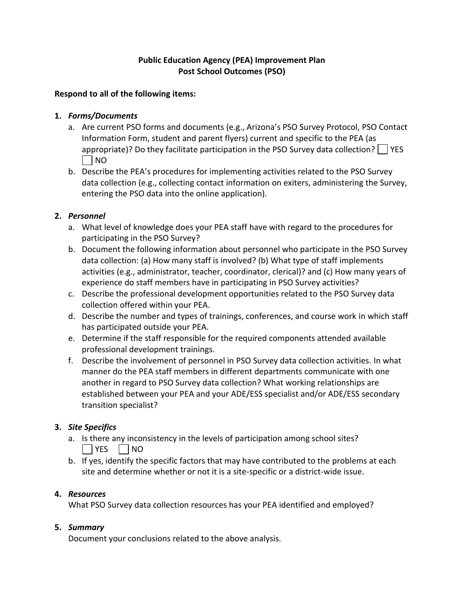# **Public Education Agency (PEA) Improvement Plan Post School Outcomes (PSO)**

#### **Respond to all of the following items:**

#### **1.** *Forms/Documents*

- a. Are current PSO forms and documents (e.g., Arizona's PSO Survey Protocol, PSO Contact Information Form, student and parent flyers) current and specific to the PEA (as appropriate)? Do they facilitate participation in the PSO Survey data collection?  $\vert \vert$  YES | NO
- b. Describe the PEA's procedures for implementing activities related to the PSO Survey data collection (e.g., collecting contact information on exiters, administering the Survey, entering the PSO data into the online application).

## **2.** *Personnel*

- a. What level of knowledge does your PEA staff have with regard to the procedures for participating in the PSO Survey?
- b. Document the following information about personnel who participate in the PSO Survey data collection: (a) How many staff is involved? (b) What type of staff implements activities (e.g., administrator, teacher, coordinator, clerical)? and (c) How many years of experience do staff members have in participating in PSO Survey activities?
- c. Describe the professional development opportunities related to the PSO Survey data collection offered within your PEA.
- d. Describe the number and types of trainings, conferences, and course work in which staff has participated outside your PEA.
- e. Determine if the staff responsible for the required components attended available professional development trainings.
- f. Describe the involvement of personnel in PSO Survey data collection activities. In what manner do the PEA staff members in different departments communicate with one another in regard to PSO Survey data collection? What working relationships are established between your PEA and your ADE/ESS specialist and/or ADE/ESS secondary transition specialist?

## **3.** *Site Specifics*

- a. Is there any inconsistency in the levels of participation among school sites?  $|$   $|$  YES  $|$   $|$  NO
- b. If yes, identify the specific factors that may have contributed to the problems at each site and determine whether or not it is a site-specific or a district-wide issue.

## **4.** *Resources*

What PSO Survey data collection resources has your PEA identified and employed?

## **5.** *Summary*

Document your conclusions related to the above analysis.